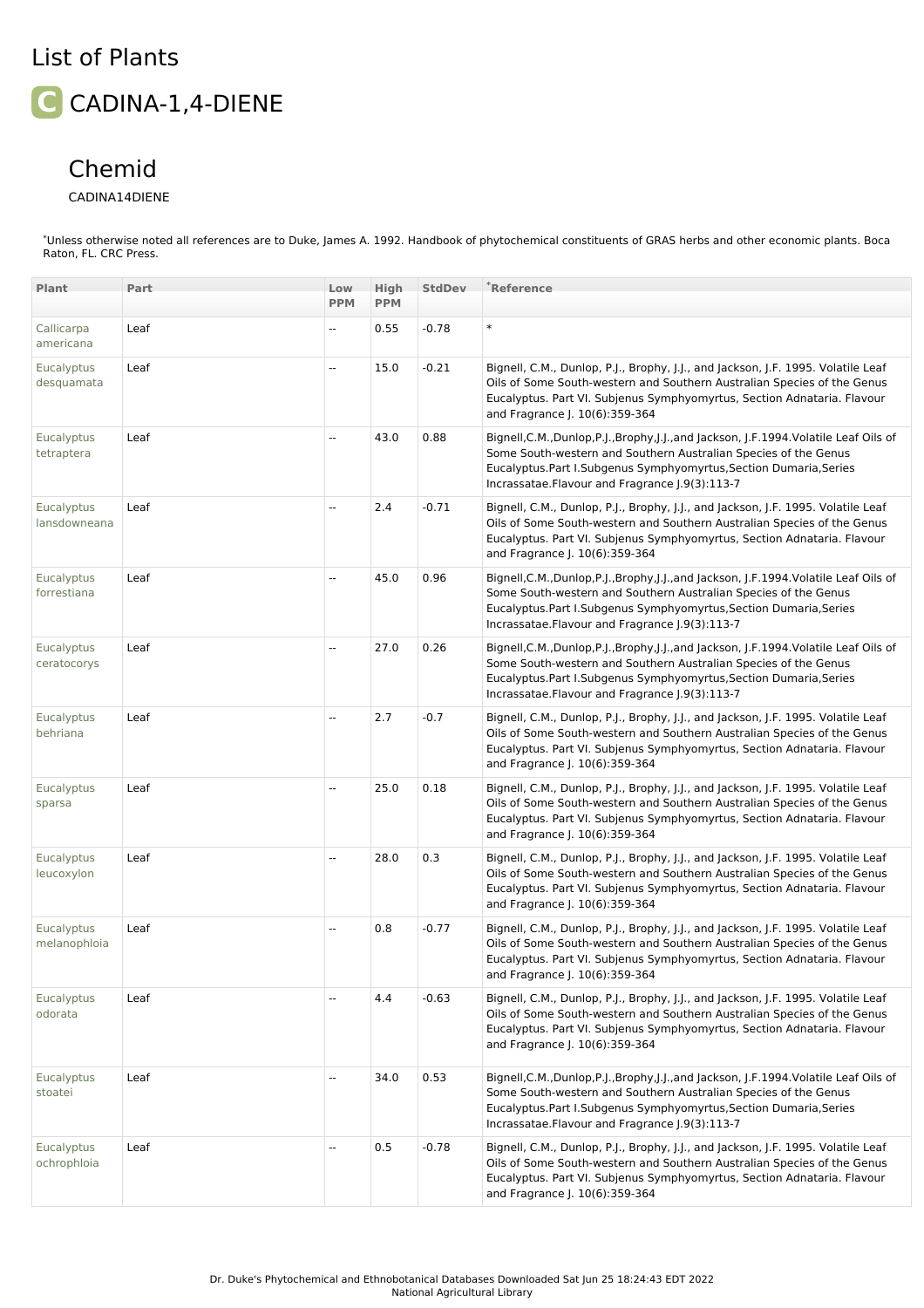## List of Plants **C** CADINA-1,4-DIENE

## Chemid

## CADINA14DIENE

\*Unless otherwise noted all references are to Duke, James A. 1992. Handbook of phytochemical constituents of GRAS herbs and other economic plants. Boca Raton, FL. CRC Press.

| Plant                           | Part | Low<br><b>PPM</b>        | High<br><b>PPM</b> | <b>StdDev</b> | *Reference                                                                                                                                                                                                                                                                       |
|---------------------------------|------|--------------------------|--------------------|---------------|----------------------------------------------------------------------------------------------------------------------------------------------------------------------------------------------------------------------------------------------------------------------------------|
|                                 |      |                          |                    |               |                                                                                                                                                                                                                                                                                  |
| Callicarpa<br>americana         | Leaf | --                       | 0.55               | $-0.78$       | $\ast$                                                                                                                                                                                                                                                                           |
| <b>Eucalyptus</b><br>desquamata | Leaf | цц.                      | 15.0               | $-0.21$       | Bignell, C.M., Dunlop, P.J., Brophy, J.J., and Jackson, J.F. 1995. Volatile Leaf<br>Oils of Some South-western and Southern Australian Species of the Genus<br>Eucalyptus. Part VI. Subjenus Symphyomyrtus, Section Adnataria. Flavour<br>and Fragrance J. 10(6):359-364         |
| Eucalyptus<br>tetraptera        | Leaf | u.                       | 43.0               | 0.88          | Bignell, C.M., Dunlop, P.J., Brophy, J.J., and Jackson, J.F. 1994. Volatile Leaf Oils of<br>Some South-western and Southern Australian Species of the Genus<br>Eucalyptus.Part I.Subgenus Symphyomyrtus,Section Dumaria,Series<br>Incrassatae.Flavour and Fragrance J.9(3):113-7 |
| Eucalyptus<br>lansdowneana      | Leaf | цц.                      | 2.4                | $-0.71$       | Bignell, C.M., Dunlop, P.J., Brophy, J.J., and Jackson, J.F. 1995. Volatile Leaf<br>Oils of Some South-western and Southern Australian Species of the Genus<br>Eucalyptus. Part VI. Subjenus Symphyomyrtus, Section Adnataria. Flavour<br>and Fragrance J. 10(6):359-364         |
| Eucalyptus<br>forrestiana       | Leaf | --                       | 45.0               | 0.96          | Bignell, C.M., Dunlop, P.J., Brophy, J.J., and Jackson, J.F.1994. Volatile Leaf Oils of<br>Some South-western and Southern Australian Species of the Genus<br>Eucalyptus.Part I.Subgenus Symphyomyrtus,Section Dumaria,Series<br>Incrassatae. Flavour and Fragrance J.9(3):113-7 |
| Eucalyptus<br>ceratocorys       | Leaf | цц.                      | 27.0               | 0.26          | Bignell, C.M., Dunlop, P.J., Brophy, J.J., and Jackson, J.F. 1994. Volatile Leaf Oils of<br>Some South-western and Southern Australian Species of the Genus<br>Eucalyptus.Part I.Subgenus Symphyomyrtus,Section Dumaria,Series<br>Incrassatae.Flavour and Fragrance (.9(3):113-7 |
| Eucalyptus<br>behriana          | Leaf | --                       | 2.7                | $-0.7$        | Bignell, C.M., Dunlop, P.J., Brophy, J.J., and Jackson, J.F. 1995. Volatile Leaf<br>Oils of Some South-western and Southern Australian Species of the Genus<br>Eucalyptus. Part VI. Subjenus Symphyomyrtus, Section Adnataria. Flavour<br>and Fragrance J. 10(6):359-364         |
| Eucalyptus<br>sparsa            | Leaf | --                       | 25.0               | 0.18          | Bignell, C.M., Dunlop, P.J., Brophy, J.J., and Jackson, J.F. 1995. Volatile Leaf<br>Oils of Some South-western and Southern Australian Species of the Genus<br>Eucalyptus. Part VI. Subjenus Symphyomyrtus, Section Adnataria. Flavour<br>and Fragrance J. 10(6):359-364         |
| Eucalyptus<br>leucoxylon        | Leaf | $\overline{\phantom{a}}$ | 28.0               | 0.3           | Bignell, C.M., Dunlop, P.J., Brophy, J.J., and Jackson, J.F. 1995. Volatile Leaf<br>Oils of Some South-western and Southern Australian Species of the Genus<br>Eucalyptus. Part VI. Subjenus Symphyomyrtus, Section Adnataria. Flavour<br>and Fragrance J. 10(6):359-364         |
| Eucalyptus<br>melanophloia      | Leaf | --                       | 0.8                | $-0.77$       | Bignell, C.M., Dunlop, P.J., Brophy, J.J., and Jackson, J.F. 1995. Volatile Leaf<br>Oils of Some South-western and Southern Australian Species of the Genus<br>Eucalyptus. Part VI. Subjenus Symphyomyrtus, Section Adnataria. Flavour<br>and Fragrance J. 10(6):359-364         |
| Eucalyptus<br>odorata           | Leaf | --                       | 4.4                | $-0.63$       | Bignell, C.M., Dunlop, P.J., Brophy, J.J., and Jackson, J.F. 1995. Volatile Leaf<br>Oils of Some South-western and Southern Australian Species of the Genus<br>Eucalyptus. Part VI. Subjenus Symphyomyrtus, Section Adnataria. Flavour<br>and Fragrance J. 10(6):359-364         |
| <b>Eucalyptus</b><br>stoatei    | Leaf | $\overline{\phantom{a}}$ | 34.0               | 0.53          | Bignell, C.M., Dunlop, P.J., Brophy, J.J., and Jackson, J.F. 1994. Volatile Leaf Oils of<br>Some South-western and Southern Australian Species of the Genus<br>Eucalyptus.Part I.Subgenus Symphyomyrtus,Section Dumaria,Series<br>Incrassatae.Flavour and Fragrance J.9(3):113-7 |
| Eucalyptus<br>ochrophloia       | Leaf | --                       | 0.5                | $-0.78$       | Bignell, C.M., Dunlop, P.J., Brophy, J.J., and Jackson, J.F. 1995. Volatile Leaf<br>Oils of Some South-western and Southern Australian Species of the Genus<br>Eucalyptus. Part VI. Subjenus Symphyomyrtus, Section Adnataria. Flavour<br>and Fragrance J. 10(6):359-364         |